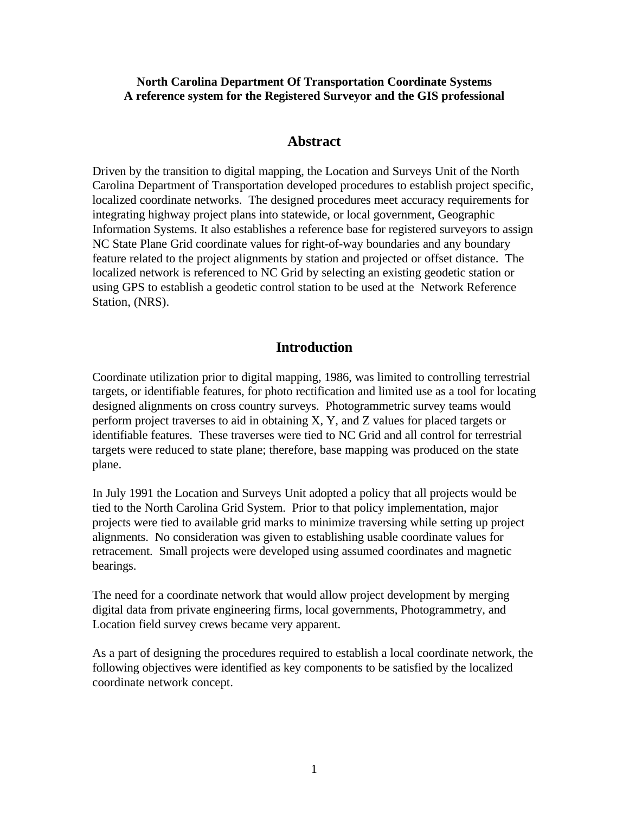#### **North Carolina Department Of Transportation Coordinate Systems A reference system for the Registered Surveyor and the GIS professional**

### **Abstract**

Driven by the transition to digital mapping, the Location and Surveys Unit of the North Carolina Department of Transportation developed procedures to establish project specific, localized coordinate networks. The designed procedures meet accuracy requirements for integrating highway project plans into statewide, or local government, Geographic Information Systems. It also establishes a reference base for registered surveyors to assign NC State Plane Grid coordinate values for right-of-way boundaries and any boundary feature related to the project alignments by station and projected or offset distance. The localized network is referenced to NC Grid by selecting an existing geodetic station or using GPS to establish a geodetic control station to be used at the Network Reference Station, (NRS).

## **Introduction**

Coordinate utilization prior to digital mapping, 1986, was limited to controlling terrestrial targets, or identifiable features, for photo rectification and limited use as a tool for locating designed alignments on cross country surveys. Photogrammetric survey teams would perform project traverses to aid in obtaining X, Y, and Z values for placed targets or identifiable features. These traverses were tied to NC Grid and all control for terrestrial targets were reduced to state plane; therefore, base mapping was produced on the state plane.

In July 1991 the Location and Surveys Unit adopted a policy that all projects would be tied to the North Carolina Grid System. Prior to that policy implementation, major projects were tied to available grid marks to minimize traversing while setting up project alignments. No consideration was given to establishing usable coordinate values for retracement. Small projects were developed using assumed coordinates and magnetic bearings.

The need for a coordinate network that would allow project development by merging digital data from private engineering firms, local governments, Photogrammetry, and Location field survey crews became very apparent.

As a part of designing the procedures required to establish a local coordinate network, the following objectives were identified as key components to be satisfied by the localized coordinate network concept.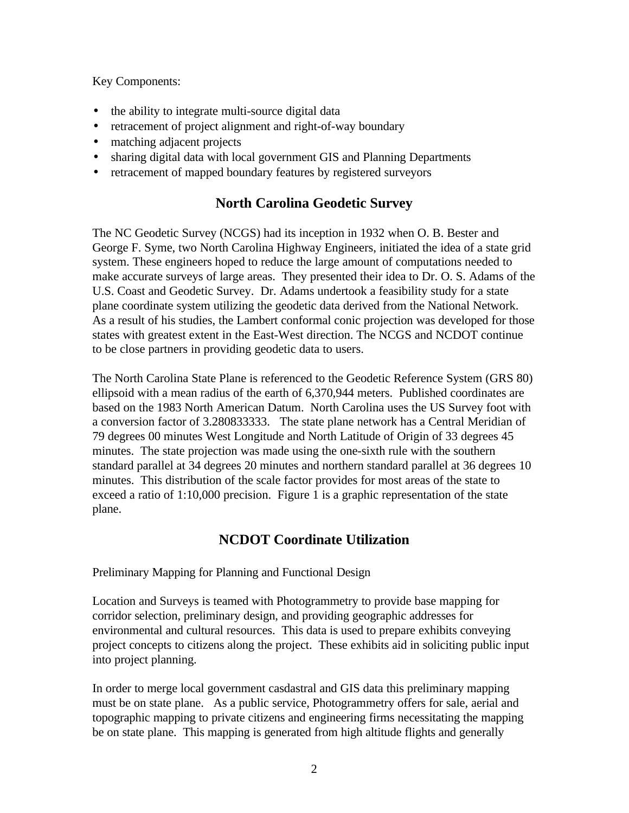Key Components:

- the ability to integrate multi-source digital data
- retracement of project alignment and right-of-way boundary
- matching adjacent projects
- sharing digital data with local government GIS and Planning Departments
- retracement of mapped boundary features by registered surveyors

## **North Carolina Geodetic Survey**

The NC Geodetic Survey (NCGS) had its inception in 1932 when O. B. Bester and George F. Syme, two North Carolina Highway Engineers, initiated the idea of a state grid system. These engineers hoped to reduce the large amount of computations needed to make accurate surveys of large areas. They presented their idea to Dr. O. S. Adams of the U.S. Coast and Geodetic Survey. Dr. Adams undertook a feasibility study for a state plane coordinate system utilizing the geodetic data derived from the National Network. As a result of his studies, the Lambert conformal conic projection was developed for those states with greatest extent in the East-West direction. The NCGS and NCDOT continue to be close partners in providing geodetic data to users.

The North Carolina State Plane is referenced to the Geodetic Reference System (GRS 80) ellipsoid with a mean radius of the earth of 6,370,944 meters. Published coordinates are based on the 1983 North American Datum. North Carolina uses the US Survey foot with a conversion factor of 3.280833333. The state plane network has a Central Meridian of 79 degrees 00 minutes West Longitude and North Latitude of Origin of 33 degrees 45 minutes. The state projection was made using the one-sixth rule with the southern standard parallel at 34 degrees 20 minutes and northern standard parallel at 36 degrees 10 minutes. This distribution of the scale factor provides for most areas of the state to exceed a ratio of 1:10,000 precision. Figure 1 is a graphic representation of the state plane.

## **NCDOT Coordinate Utilization**

Preliminary Mapping for Planning and Functional Design

Location and Surveys is teamed with Photogrammetry to provide base mapping for corridor selection, preliminary design, and providing geographic addresses for environmental and cultural resources. This data is used to prepare exhibits conveying project concepts to citizens along the project. These exhibits aid in soliciting public input into project planning.

In order to merge local government casdastral and GIS data this preliminary mapping must be on state plane. As a public service, Photogrammetry offers for sale, aerial and topographic mapping to private citizens and engineering firms necessitating the mapping be on state plane. This mapping is generated from high altitude flights and generally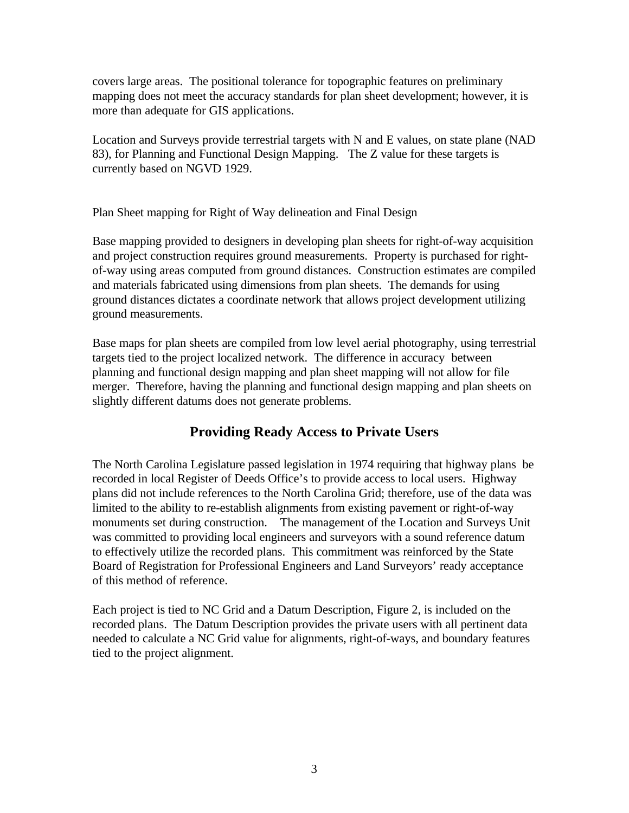covers large areas. The positional tolerance for topographic features on preliminary mapping does not meet the accuracy standards for plan sheet development; however, it is more than adequate for GIS applications.

Location and Surveys provide terrestrial targets with N and E values, on state plane (NAD 83), for Planning and Functional Design Mapping. The Z value for these targets is currently based on NGVD 1929.

Plan Sheet mapping for Right of Way delineation and Final Design

Base mapping provided to designers in developing plan sheets for right-of-way acquisition and project construction requires ground measurements. Property is purchased for rightof-way using areas computed from ground distances. Construction estimates are compiled and materials fabricated using dimensions from plan sheets. The demands for using ground distances dictates a coordinate network that allows project development utilizing ground measurements.

Base maps for plan sheets are compiled from low level aerial photography, using terrestrial targets tied to the project localized network. The difference in accuracy between planning and functional design mapping and plan sheet mapping will not allow for file merger. Therefore, having the planning and functional design mapping and plan sheets on slightly different datums does not generate problems.

# **Providing Ready Access to Private Users**

The North Carolina Legislature passed legislation in 1974 requiring that highway plans be recorded in local Register of Deeds Office's to provide access to local users. Highway plans did not include references to the North Carolina Grid; therefore, use of the data was limited to the ability to re-establish alignments from existing pavement or right-of-way monuments set during construction. The management of the Location and Surveys Unit was committed to providing local engineers and surveyors with a sound reference datum to effectively utilize the recorded plans. This commitment was reinforced by the State Board of Registration for Professional Engineers and Land Surveyors' ready acceptance of this method of reference.

Each project is tied to NC Grid and a Datum Description, Figure 2, is included on the recorded plans. The Datum Description provides the private users with all pertinent data needed to calculate a NC Grid value for alignments, right-of-ways, and boundary features tied to the project alignment.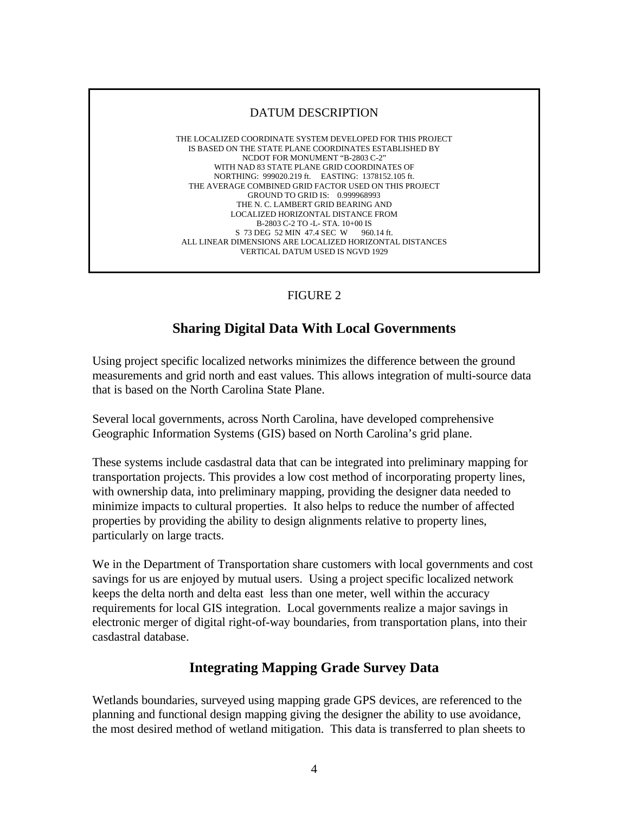## DATUM DESCRIPTION

THE LOCALIZED COORDINATE SYSTEM DEVELOPED FOR THIS PROJECT IS BASED ON THE STATE PLANE COORDINATES ESTABLISHED BY NCDOT FOR MONUMENT "B-2803 C-2" WITH NAD 83 STATE PLANE GRID COORDINATES OF NORTHING: 999020.219 ft. EASTING: 1378152.105 ft. THE AVERAGE COMBINED GRID FACTOR USED ON THIS PROJECT GROUND TO GRID IS: 0.999968993 THE N. C. LAMBERT GRID BEARING AND LOCALIZED HORIZONTAL DISTANCE FROM B-2803 C-2 TO -L- STA. 10+00 IS S 73 DEG 52 MIN 47.4 SEC W 960.14 ft. ALL LINEAR DIMENSIONS ARE LOCALIZED HORIZONTAL DISTANCES VERTICAL DATUM USED IS NGVD 1929

### FIGURE 2

# **Sharing Digital Data With Local Governments**

Using project specific localized networks minimizes the difference between the ground measurements and grid north and east values. This allows integration of multi-source data that is based on the North Carolina State Plane.

Several local governments, across North Carolina, have developed comprehensive Geographic Information Systems (GIS) based on North Carolina's grid plane.

These systems include casdastral data that can be integrated into preliminary mapping for transportation projects. This provides a low cost method of incorporating property lines, with ownership data, into preliminary mapping, providing the designer data needed to minimize impacts to cultural properties. It also helps to reduce the number of affected properties by providing the ability to design alignments relative to property lines, particularly on large tracts.

We in the Department of Transportation share customers with local governments and cost savings for us are enjoyed by mutual users. Using a project specific localized network keeps the delta north and delta east less than one meter, well within the accuracy requirements for local GIS integration. Local governments realize a major savings in electronic merger of digital right-of-way boundaries, from transportation plans, into their casdastral database.

## **Integrating Mapping Grade Survey Data**

Wetlands boundaries, surveyed using mapping grade GPS devices, are referenced to the planning and functional design mapping giving the designer the ability to use avoidance, the most desired method of wetland mitigation. This data is transferred to plan sheets to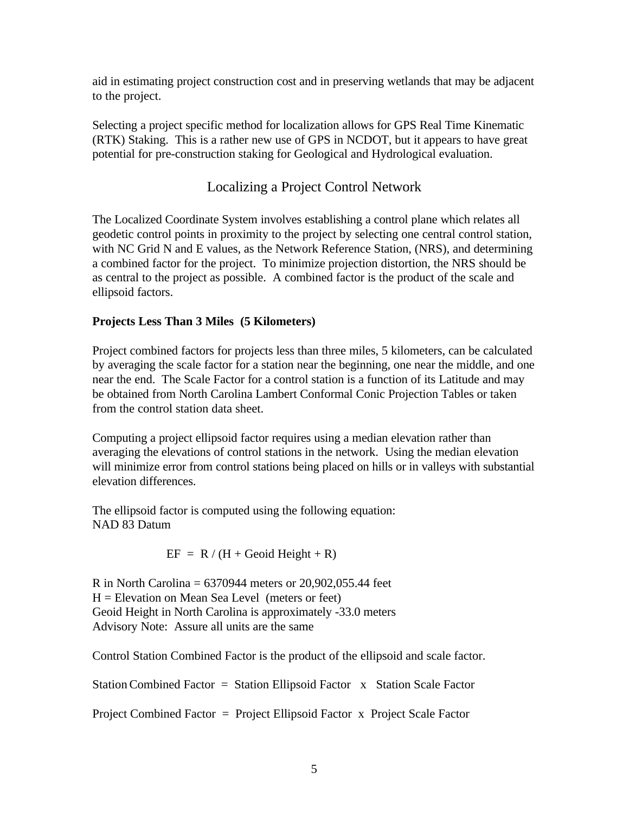aid in estimating project construction cost and in preserving wetlands that may be adjacent to the project.

Selecting a project specific method for localization allows for GPS Real Time Kinematic (RTK) Staking. This is a rather new use of GPS in NCDOT, but it appears to have great potential for pre-construction staking for Geological and Hydrological evaluation.

## Localizing a Project Control Network

The Localized Coordinate System involves establishing a control plane which relates all geodetic control points in proximity to the project by selecting one central control station, with NC Grid N and E values, as the Network Reference Station, (NRS), and determining a combined factor for the project. To minimize projection distortion, the NRS should be as central to the project as possible. A combined factor is the product of the scale and ellipsoid factors.

### **Projects Less Than 3 Miles (5 Kilometers)**

Project combined factors for projects less than three miles, 5 kilometers, can be calculated by averaging the scale factor for a station near the beginning, one near the middle, and one near the end. The Scale Factor for a control station is a function of its Latitude and may be obtained from North Carolina Lambert Conformal Conic Projection Tables or taken from the control station data sheet.

Computing a project ellipsoid factor requires using a median elevation rather than averaging the elevations of control stations in the network. Using the median elevation will minimize error from control stations being placed on hills or in valleys with substantial elevation differences.

The ellipsoid factor is computed using the following equation: NAD 83 Datum

$$
EF = R / (H + Geoid Height + R)
$$

R in North Carolina = 6370944 meters or 20,902,055.44 feet  $H =$  Elevation on Mean Sea Level (meters or feet) Geoid Height in North Carolina is approximately -33.0 meters Advisory Note: Assure all units are the same

Control Station Combined Factor is the product of the ellipsoid and scale factor.

Station Combined Factor  $=$  Station Ellipsoid Factor  $\bar{x}$  Station Scale Factor

Project Combined Factor = Project Ellipsoid Factor x Project Scale Factor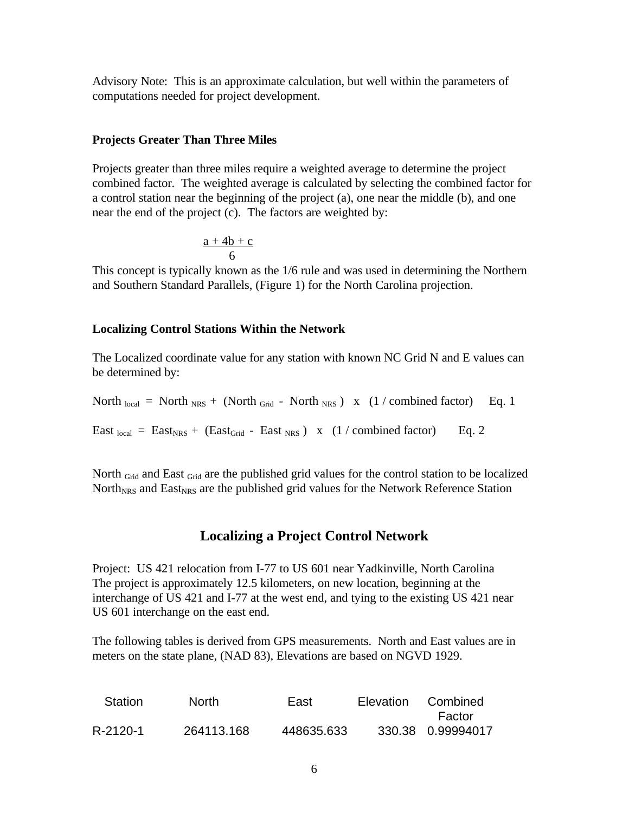Advisory Note: This is an approximate calculation, but well within the parameters of computations needed for project development.

#### **Projects Greater Than Three Miles**

Projects greater than three miles require a weighted average to determine the project combined factor. The weighted average is calculated by selecting the combined factor for a control station near the beginning of the project (a), one near the middle (b), and one near the end of the project (c). The factors are weighted by:

$$
\frac{a+4b+c}{6}
$$

This concept is typically known as the 1/6 rule and was used in determining the Northern and Southern Standard Parallels, (Figure 1) for the North Carolina projection.

#### **Localizing Control Stations Within the Network**

The Localized coordinate value for any station with known NC Grid N and E values can be determined by:

North  $_{local}$  = North  $_{NRS}$  + (North  $_{Grid}$  - North  $_{NRS}$ ) x (1/combined factor) Eq. 1

East  $_{local}$  = East<sub>NRS</sub> + (East<sub>Grid</sub> - East <sub>NRS</sub>) x (1 / combined factor) Eq. 2

North Grid and East Grid are the published grid values for the control station to be localized North<sub>NRS</sub> and East<sub>NRS</sub> are the published grid values for the Network Reference Station

## **Localizing a Project Control Network**

Project: US 421 relocation from I-77 to US 601 near Yadkinville, North Carolina The project is approximately 12.5 kilometers, on new location, beginning at the interchange of US 421 and I-77 at the west end, and tying to the existing US 421 near US 601 interchange on the east end.

The following tables is derived from GPS measurements. North and East values are in meters on the state plane, (NAD 83), Elevations are based on NGVD 1929.

| Station  | <b>North</b> | East       | Elevation | Combined          |
|----------|--------------|------------|-----------|-------------------|
|          |              |            |           | Factor            |
| R-2120-1 | 264113.168   | 448635.633 |           | 330.38 0.99994017 |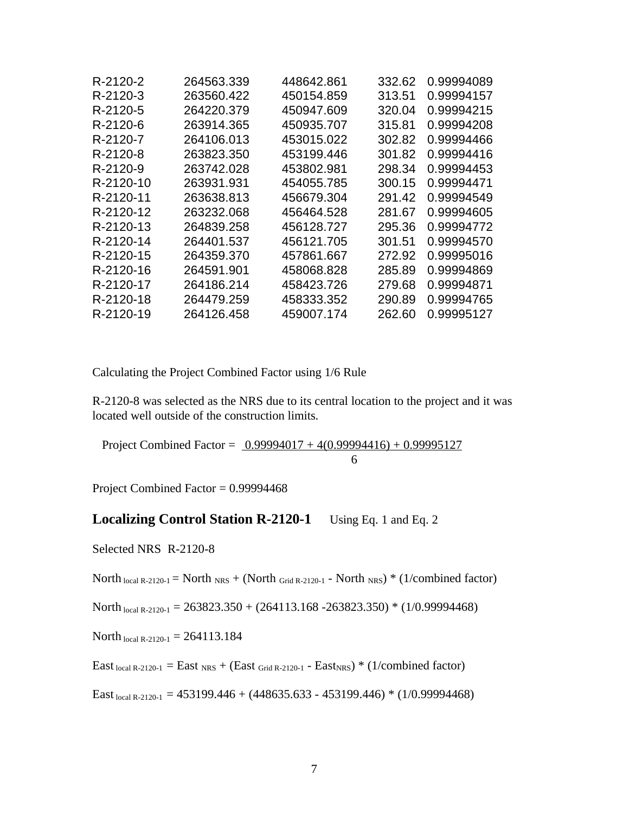| R-2120-2  | 264563.339 | 448642.861 | 332.62 | 0.99994089 |
|-----------|------------|------------|--------|------------|
| R-2120-3  | 263560.422 | 450154.859 | 313.51 | 0.99994157 |
| R-2120-5  | 264220.379 | 450947.609 | 320.04 | 0.99994215 |
| R-2120-6  | 263914.365 | 450935.707 | 315.81 | 0.99994208 |
| R-2120-7  | 264106.013 | 453015.022 | 302.82 | 0.99994466 |
| R-2120-8  | 263823.350 | 453199.446 | 301.82 | 0.99994416 |
| R-2120-9  | 263742.028 | 453802.981 | 298.34 | 0.99994453 |
| R-2120-10 | 263931.931 | 454055.785 | 300.15 | 0.99994471 |
| R-2120-11 | 263638.813 | 456679.304 | 291.42 | 0.99994549 |
| R-2120-12 | 263232.068 | 456464.528 | 281.67 | 0.99994605 |
| R-2120-13 | 264839.258 | 456128.727 | 295.36 | 0.99994772 |
| R-2120-14 | 264401.537 | 456121.705 | 301.51 | 0.99994570 |
| R-2120-15 | 264359.370 | 457861.667 | 272.92 | 0.99995016 |
| R-2120-16 | 264591.901 | 458068.828 | 285.89 | 0.99994869 |
| R-2120-17 | 264186.214 | 458423.726 | 279.68 | 0.99994871 |
| R-2120-18 | 264479.259 | 458333.352 | 290.89 | 0.99994765 |
| R-2120-19 | 264126.458 | 459007.174 | 262.60 | 0.99995127 |

Calculating the Project Combined Factor using 1/6 Rule

R-2120-8 was selected as the NRS due to its central location to the project and it was located well outside of the construction limits.

Project Combined Factor =  $0.99994017 + 4(0.99994416) + 0.99995127$ 6

Project Combined Factor = 0.99994468

#### **Localizing Control Station R-2120-1** Using Eq. 1 and Eq. 2

Selected NRS R-2120-8

North local R-2120-1 = North  $_{NRS}$  + (North  $_{Grid}$  R-2120-1 - North  $_{NRS}$ ) \* (1/combined factor)

North  $_{local R-2120-1}$  = 263823.350 + (264113.168 -263823.350) \* (1/0.99994468)

North  $_{local R-2120-1} = 264113.184$ 

East  $_{local R-2120-1}$  = East  $_{NRS}$  + (East  $_{Grid R-2120-1}$  - East $_{NRS}$ ) \* (1/combined factor)

East  $_{local R-2120-1}$  = 453199.446 + (448635.633 - 453199.446) \* (1/0.99994468)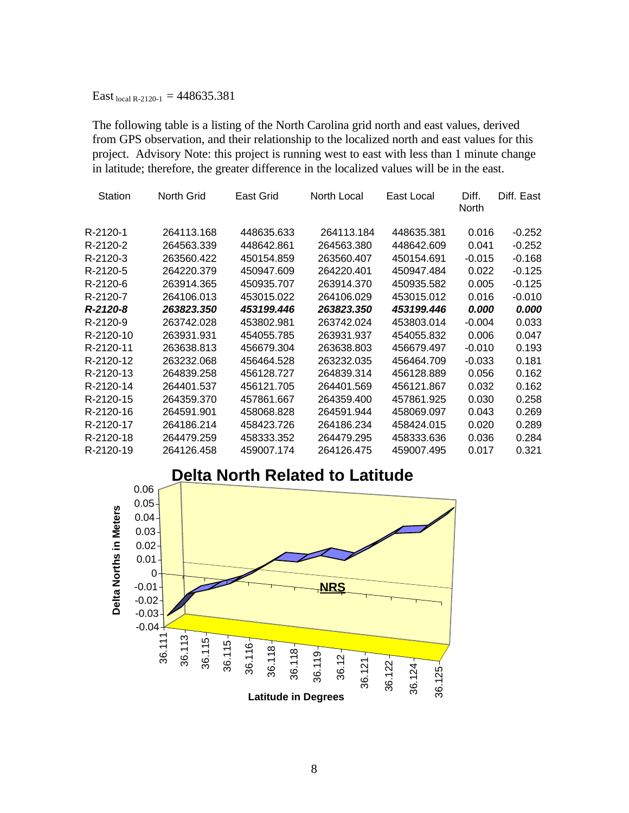East local R-2120-1 =  $448635.381$ 

The following table is a listing of the North Carolina grid north and east values, derived from GPS observation, and their relationship to the localized north and east values for this project. Advisory Note: this project is running west to east with less than 1 minute change in latitude; therefore, the greater difference in the localized values will be in the east.

| Station   | North Grid | East Grid  | North Local | East Local | Diff.<br><b>North</b> | Diff. East |
|-----------|------------|------------|-------------|------------|-----------------------|------------|
| R-2120-1  | 264113.168 | 448635.633 | 264113.184  | 448635.381 | 0.016                 | $-0.252$   |
| R-2120-2  | 264563.339 | 448642.861 | 264563.380  | 448642.609 | 0.041                 | $-0.252$   |
| R-2120-3  | 263560.422 | 450154.859 | 263560.407  | 450154.691 | $-0.015$              | $-0.168$   |
| R-2120-5  | 264220.379 | 450947.609 | 264220.401  | 450947.484 | 0.022                 | $-0.125$   |
| R-2120-6  | 263914.365 | 450935.707 | 263914.370  | 450935.582 | 0.005                 | $-0.125$   |
| R-2120-7  | 264106.013 | 453015.022 | 264106.029  | 453015.012 | 0.016                 | $-0.010$   |
| R-2120-8  | 263823.350 | 453199,446 | 263823.350  | 453199,446 | 0.000                 | 0.000      |
| R-2120-9  | 263742.028 | 453802.981 | 263742.024  | 453803.014 | $-0.004$              | 0.033      |
| R-2120-10 | 263931.931 | 454055.785 | 263931.937  | 454055.832 | 0.006                 | 0.047      |
| R-2120-11 | 263638.813 | 456679.304 | 263638.803  | 456679.497 | $-0.010$              | 0.193      |
| R-2120-12 | 263232.068 | 456464.528 | 263232.035  | 456464.709 | $-0.033$              | 0.181      |
| R-2120-13 | 264839.258 | 456128.727 | 264839.314  | 456128.889 | 0.056                 | 0.162      |
| R-2120-14 | 264401.537 | 456121.705 | 264401.569  | 456121.867 | 0.032                 | 0.162      |
| R-2120-15 | 264359.370 | 457861.667 | 264359.400  | 457861.925 | 0.030                 | 0.258      |
| R-2120-16 | 264591.901 | 458068.828 | 264591.944  | 458069.097 | 0.043                 | 0.269      |
| R-2120-17 | 264186.214 | 458423.726 | 264186.234  | 458424.015 | 0.020                 | 0.289      |
| R-2120-18 | 264479.259 | 458333.352 | 264479.295  | 458333.636 | 0.036                 | 0.284      |
| R-2120-19 | 264126.458 | 459007.174 | 264126.475  | 459007.495 | 0.017                 | 0.321      |

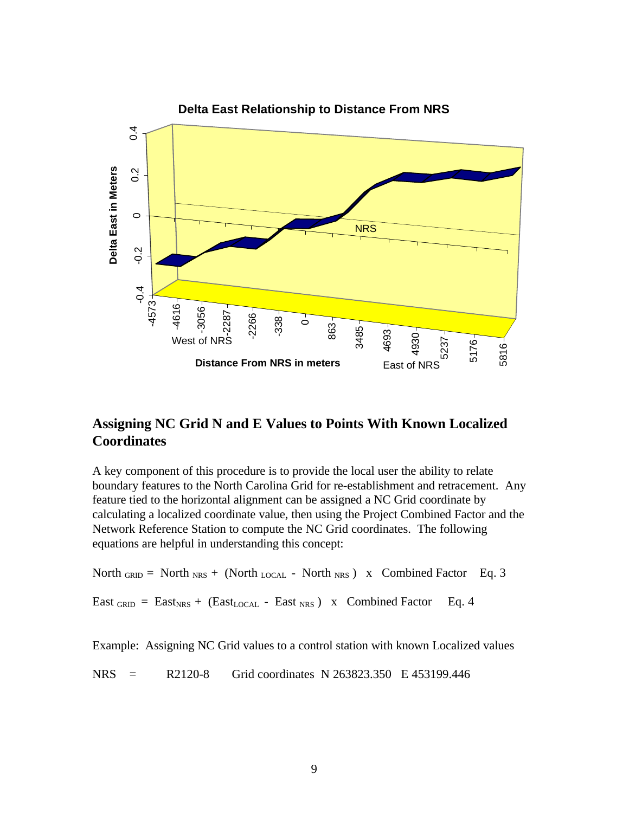

## **Assigning NC Grid N and E Values to Points With Known Localized Coordinates**

A key component of this procedure is to provide the local user the ability to relate boundary features to the North Carolina Grid for re-establishment and retracement. Any feature tied to the horizontal alignment can be assigned a NC Grid coordinate by calculating a localized coordinate value, then using the Project Combined Factor and the Network Reference Station to compute the NC Grid coordinates. The following equations are helpful in understanding this concept:

```
North GRED = North_{NRS} + (North_{LOCAL} - North_{NRS}) x Combined Factor Eq. 3
East _{GRID} = East<sub>NRS</sub> + (East<sub>LOCAL</sub> - East <sub>NRS</sub>) x Combined Factor Eq. 4
Example: Assigning NC Grid values to a control station with known Localized values
```
NRS = R2120-8 Grid coordinates N 263823.350 E 453199.446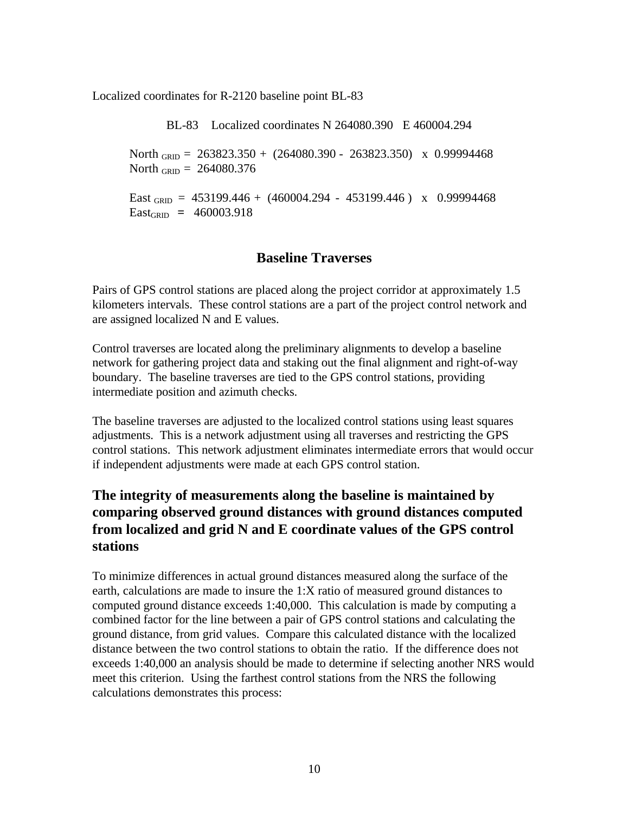Localized coordinates for R-2120 baseline point BL-83

BL-83 Localized coordinates N 264080.390 E 460004.294

North  $G_{RID} = 263823.350 + (264080.390 - 263823.350)$  x 0.99994468 North  $_{\text{GRID}} = 264080.376$ 

East GRID =  $453199.446 + (460004.294 - 453199.446)$  x 0.99994468 EastGRID **=** 460003.918

## **Baseline Traverses**

Pairs of GPS control stations are placed along the project corridor at approximately 1.5 kilometers intervals. These control stations are a part of the project control network and are assigned localized N and E values.

Control traverses are located along the preliminary alignments to develop a baseline network for gathering project data and staking out the final alignment and right-of-way boundary. The baseline traverses are tied to the GPS control stations, providing intermediate position and azimuth checks.

The baseline traverses are adjusted to the localized control stations using least squares adjustments. This is a network adjustment using all traverses and restricting the GPS control stations. This network adjustment eliminates intermediate errors that would occur if independent adjustments were made at each GPS control station.

# **The integrity of measurements along the baseline is maintained by comparing observed ground distances with ground distances computed from localized and grid N and E coordinate values of the GPS control stations**

To minimize differences in actual ground distances measured along the surface of the earth, calculations are made to insure the 1:X ratio of measured ground distances to computed ground distance exceeds 1:40,000. This calculation is made by computing a combined factor for the line between a pair of GPS control stations and calculating the ground distance, from grid values. Compare this calculated distance with the localized distance between the two control stations to obtain the ratio. If the difference does not exceeds 1:40,000 an analysis should be made to determine if selecting another NRS would meet this criterion. Using the farthest control stations from the NRS the following calculations demonstrates this process: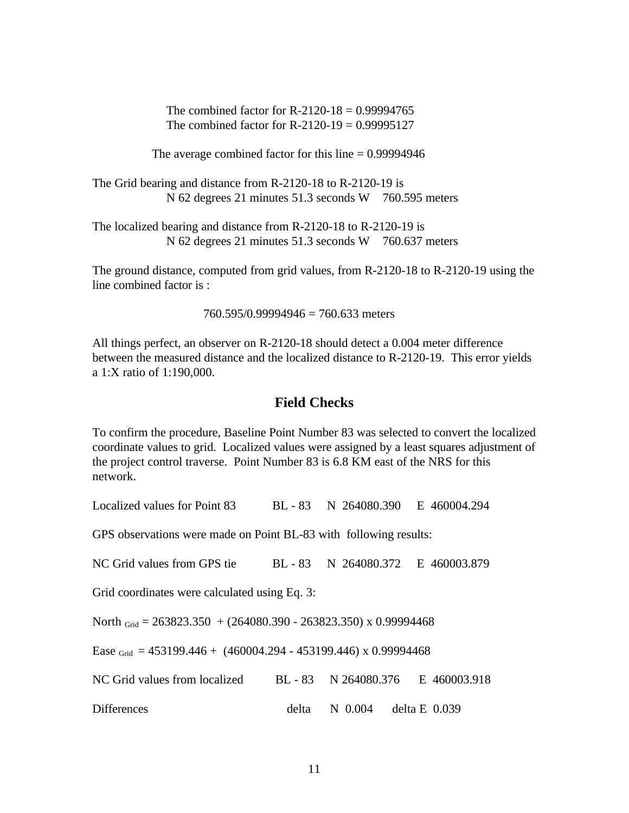The combined factor for  $R-2120-18 = 0.99994765$ The combined factor for R-2120-19 =  $0.99995127$ 

The average combined factor for this line  $= 0.99994946$ 

The Grid bearing and distance from R-2120-18 to R-2120-19 is N 62 degrees 21 minutes 51.3 seconds W 760.595 meters

The localized bearing and distance from R-2120-18 to R-2120-19 is N 62 degrees 21 minutes 51.3 seconds W 760.637 meters

The ground distance, computed from grid values, from R-2120-18 to R-2120-19 using the line combined factor is :

760.595/0.99994946 = 760.633 meters

All things perfect, an observer on R-2120-18 should detect a 0.004 meter difference between the measured distance and the localized distance to R-2120-19. This error yields a 1:X ratio of 1:190,000.

#### **Field Checks**

To confirm the procedure, Baseline Point Number 83 was selected to convert the localized coordinate values to grid. Localized values were assigned by a least squares adjustment of the project control traverse. Point Number 83 is 6.8 KM east of the NRS for this network.

Localized values for Point 83 BL - 83 N 264080.390 E 460004.294

GPS observations were made on Point BL-83 with following results:

NC Grid values from GPS tie BL - 83 N 264080.372 E 460003.879

Grid coordinates were calculated using Eq. 3:

North  $G_{\text{rid}} = 263823.350 + (264080.390 - 263823.350)$  x 0.99994468

Ease <sub>Grid</sub> = 453199.446 + (460004.294 - 453199.446) x 0.99994468

| NC Grid values from localized |  | BL-83 N 264080.376 | E 460003.918 |
|-------------------------------|--|--------------------|--------------|
|-------------------------------|--|--------------------|--------------|

Differences delta N 0.004 delta E 0.039